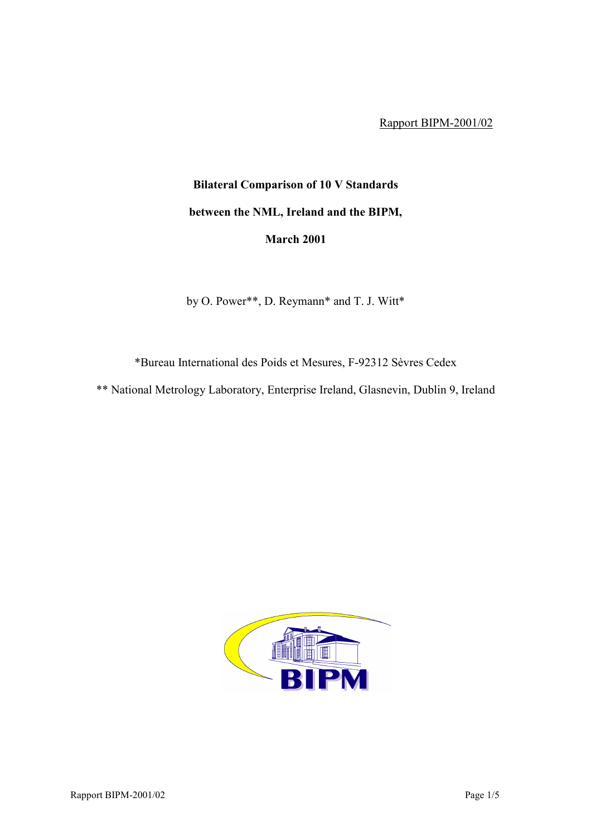Rapport BIPM-2001/02

## **Bilateral Comparison of 10 V Standards between the NML, Ireland and the BIPM, March 2001**

by O. Power\*\*, D. Reymann\* and T. J. Witt\*

\*Bureau International des Poids et Mesures, F-92312 SËvres Cedex

\*\* National Metrology Laboratory, Enterprise Ireland, Glasnevin, Dublin 9, Ireland

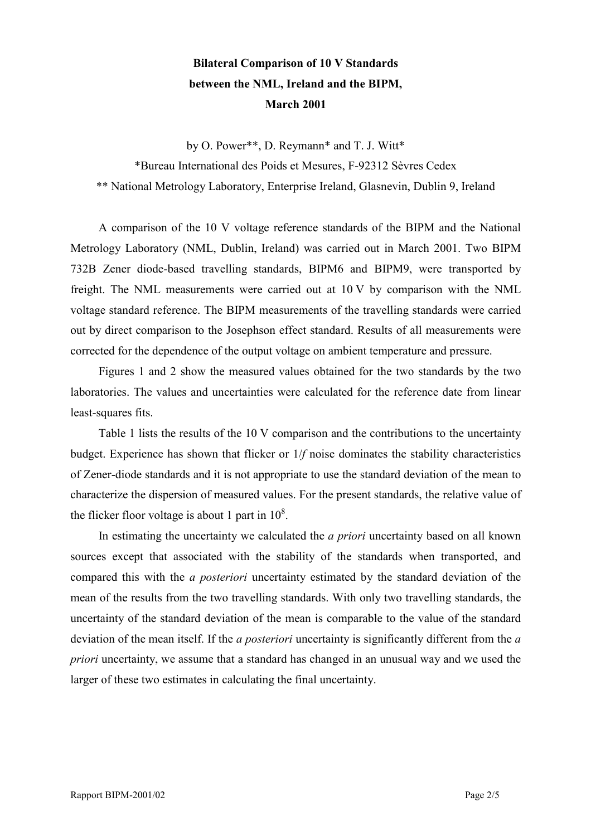## **Bilateral Comparison of 10 V Standards between the NML, Ireland and the BIPM, March 2001**

by O. Power\*\*, D. Reymann\* and T. J. Witt\* \*Bureau International des Poids et Mesures, F-92312 SËvres Cedex \*\* National Metrology Laboratory, Enterprise Ireland, Glasnevin, Dublin 9, Ireland

A comparison of the 10 V voltage reference standards of the BIPM and the National Metrology Laboratory (NML, Dublin, Ireland) was carried out in March 2001. Two BIPM 732B Zener diode-based travelling standards, BIPM6 and BIPM9, were transported by freight. The NML measurements were carried out at 10 V by comparison with the NML voltage standard reference. The BIPM measurements of the travelling standards were carried out by direct comparison to the Josephson effect standard. Results of all measurements were corrected for the dependence of the output voltage on ambient temperature and pressure.

Figures 1 and 2 show the measured values obtained for the two standards by the two laboratories. The values and uncertainties were calculated for the reference date from linear least-squares fits.

Table 1 lists the results of the 10 V comparison and the contributions to the uncertainty budget. Experience has shown that flicker or 1/*f* noise dominates the stability characteristics of Zener-diode standards and it is not appropriate to use the standard deviation of the mean to characterize the dispersion of measured values. For the present standards, the relative value of the flicker floor voltage is about 1 part in  $10^8$ .

In estimating the uncertainty we calculated the *a priori* uncertainty based on all known sources except that associated with the stability of the standards when transported, and compared this with the *a posteriori* uncertainty estimated by the standard deviation of the mean of the results from the two travelling standards. With only two travelling standards, the uncertainty of the standard deviation of the mean is comparable to the value of the standard deviation of the mean itself. If the *a posteriori* uncertainty is significantly different from the *a priori* uncertainty, we assume that a standard has changed in an unusual way and we used the larger of these two estimates in calculating the final uncertainty.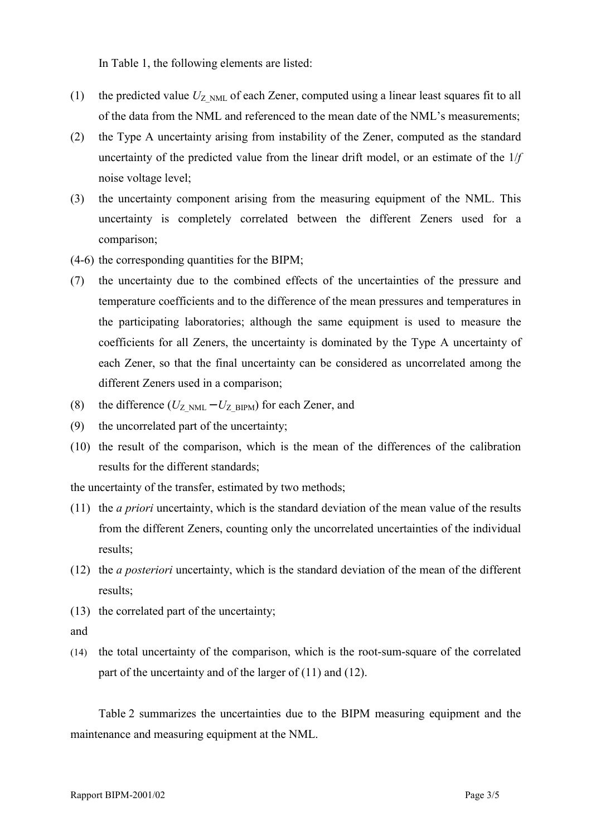In Table 1, the following elements are listed:

- (1) the predicted value  $U_{Z>NML}$  of each Zener, computed using a linear least squares fit to all of the data from the NML and referenced to the mean date of the NML's measurements;
- (2) the Type A uncertainty arising from instability of the Zener, computed as the standard uncertainty of the predicted value from the linear drift model, or an estimate of the 1/*f* noise voltage level;
- (3) the uncertainty component arising from the measuring equipment of the NML. This uncertainty is completely correlated between the different Zeners used for a comparison;
- (4-6) the corresponding quantities for the BIPM;
- (7) the uncertainty due to the combined effects of the uncertainties of the pressure and temperature coefficients and to the difference of the mean pressures and temperatures in the participating laboratories; although the same equipment is used to measure the coefficients for all Zeners, the uncertainty is dominated by the Type A uncertainty of each Zener, so that the final uncertainty can be considered as uncorrelated among the different Zeners used in a comparison;
- (8) the difference  $(U_{Z>NML} U_{Z-BIPM})$  for each Zener, and
- (9) the uncorrelated part of the uncertainty;
- (10) the result of the comparison, which is the mean of the differences of the calibration results for the different standards;

the uncertainty of the transfer, estimated by two methods;

- (11) the *a priori* uncertainty, which is the standard deviation of the mean value of the results from the different Zeners, counting only the uncorrelated uncertainties of the individual results;
- (12) the *a posteriori* uncertainty, which is the standard deviation of the mean of the different results;
- (13) the correlated part of the uncertainty;
- and
- (14) the total uncertainty of the comparison, which is the root-sum-square of the correlated part of the uncertainty and of the larger of (11) and (12).

Table 2 summarizes the uncertainties due to the BIPM measuring equipment and the maintenance and measuring equipment at the NML.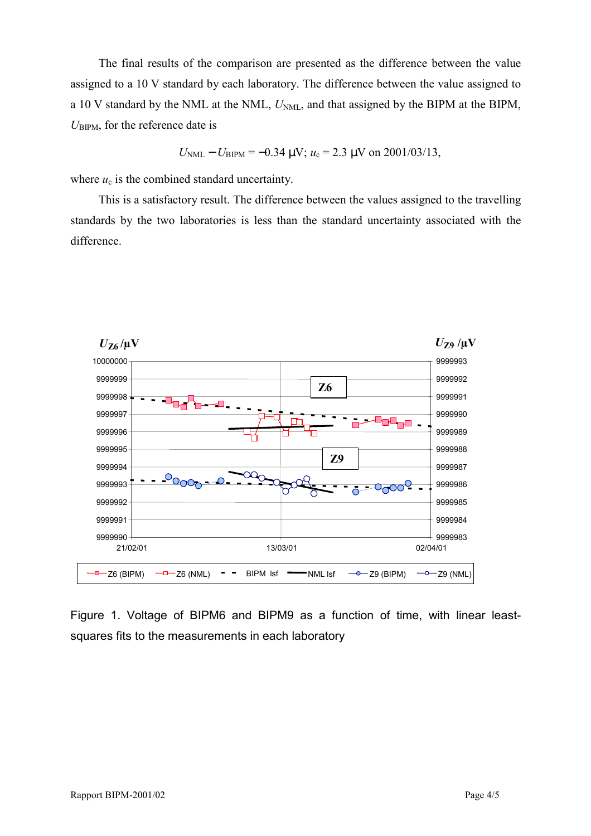The final results of the comparison are presented as the difference between the value assigned to a 10 V standard by each laboratory. The difference between the value assigned to a 10 V standard by the NML at the NML,  $U_{NML}$ , and that assigned by the BIPM at the BIPM,  $U_{\rm BIPM}$ , for the reference date is

$$
U_{\text{NML}} - U_{\text{BIPM}} = -0.34 \text{ }\mu\text{V}; u_c = 2.3 \text{ }\mu\text{V} \text{ on } 2001/03/13,
$$

where  $u_c$  is the combined standard uncertainty.

This is a satisfactory result. The difference between the values assigned to the travelling standards by the two laboratories is less than the standard uncertainty associated with the difference.



Figure 1. Voltage of BIPM6 and BIPM9 as a function of time, with linear leastsquares fits to the measurements in each laboratory